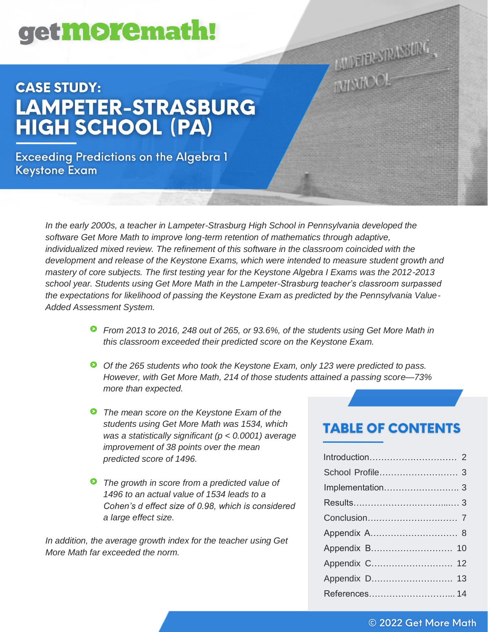# get**more**math!

# **CASE STUDY:** LAMPETER-STRASBURG **HIGH SCHOOL (PA)**

**Exceeding Predictions on the Algebra 1 Keystone Exam** 

> *In the early 2000s, a teacher in Lampeter-Strasburg High School in Pennsylvania developed the software Get More Math to improve long-term retention of mathematics through adaptive, individualized mixed review. The refinement of this software in the classroom coincided with the development and release of the Keystone Exams, which were intended to measure student growth and mastery of core subjects. The first testing year for the Keystone Algebra I Exams was the 2012-2013 school year. Students using Get More Math in the Lampeter-Strasburg teacher's classroom surpassed the expectations for likelihood of passing the Keystone Exam as predicted by the Pennsylvania Value-Added Assessment System.*

- *From 2013 to 2016, 248 out of 265, or 93.6%, of the students using Get More Math in this classroom exceeded their predicted score on the Keystone Exam.*
- *Of the 265 students who took the Keystone Exam, only 123 were predicted to pass. However, with Get More Math, 214 of those students attained a passing score—73% more than expected.*
- *The mean score on the Keystone Exam of the students using Get More Math was 1534, which was a statistically significant (p < 0.0001) average improvement of 38 points over the mean predicted score of 1496.*
- *The growth in score from a predicted value of 1496 to an actual value of 1534 leads to a Cohen's d effect size of 0.98, which is considered a large effect size.*

*In addition, the average growth index for the teacher using Get More Math far exceeded the norm.*

# **TABLE OF CONTENTS**

LIUDEUR SIRASSURG

**LUDETERSTRAL** 

| Appendix C 12 |
|---------------|
|               |
|               |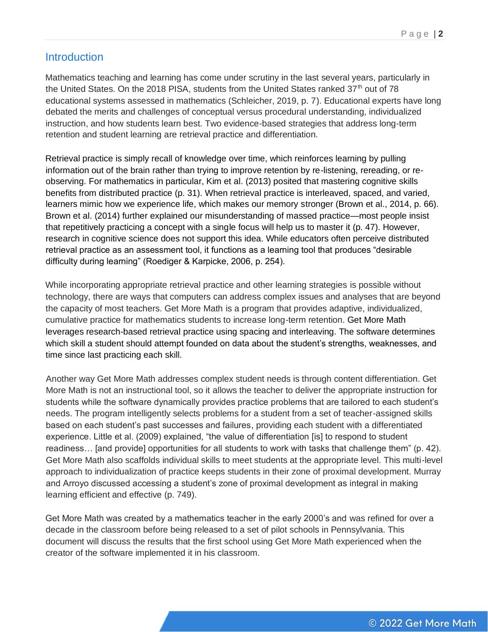#### **Introduction**

Mathematics teaching and learning has come under scrutiny in the last several years, particularly in the United States. On the 2018 PISA, students from the United States ranked  $37<sup>th</sup>$  out of 78 educational systems assessed in mathematics (Schleicher, 2019, p. 7). Educational experts have long debated the merits and challenges of conceptual versus procedural understanding, individualized instruction, and how students learn best. Two evidence-based strategies that address long-term retention and student learning are retrieval practice and differentiation.

Retrieval practice is simply recall of knowledge over time, which reinforces learning by pulling information out of the brain rather than trying to improve retention by re-listening, rereading, or reobserving. For mathematics in particular, Kim et al. (2013) posited that mastering cognitive skills benefits from distributed practice (p. 31). When retrieval practice is interleaved, spaced, and varied, learners mimic how we experience life, which makes our memory stronger (Brown et al., 2014, p. 66). Brown et al. (2014) further explained our misunderstanding of massed practice—most people insist that repetitively practicing a concept with a single focus will help us to master it (p. 47). However, research in cognitive science does not support this idea. While educators often perceive distributed retrieval practice as an assessment tool, it functions as a learning tool that produces "desirable difficulty during learning" (Roediger & Karpicke, 2006, p. 254).

While incorporating appropriate retrieval practice and other learning strategies is possible without technology, there are ways that computers can address complex issues and analyses that are beyond the capacity of most teachers. Get More Math is a program that provides adaptive, individualized, cumulative practice for mathematics students to increase long-term retention. Get More Math leverages research-based retrieval practice using spacing and interleaving. The software determines which skill a student should attempt founded on data about the student's strengths, weaknesses, and time since last practicing each skill.

Another way Get More Math addresses complex student needs is through content differentiation. Get More Math is not an instructional tool, so it allows the teacher to deliver the appropriate instruction for students while the software dynamically provides practice problems that are tailored to each student's needs. The program intelligently selects problems for a student from a set of teacher-assigned skills based on each student's past successes and failures, providing each student with a differentiated experience. Little et al. (2009) explained, "the value of differentiation [is] to respond to student readiness… [and provide] opportunities for all students to work with tasks that challenge them" (p. 42). Get More Math also scaffolds individual skills to meet students at the appropriate level. This multi-level approach to individualization of practice keeps students in their zone of proximal development. Murray and Arroyo discussed accessing a student's zone of proximal development as integral in making learning efficient and effective (p. 749).

Get More Math was created by a mathematics teacher in the early 2000's and was refined for over a decade in the classroom before being released to a set of pilot schools in Pennsylvania. This document will discuss the results that the first school using Get More Math experienced when the creator of the software implemented it in his classroom.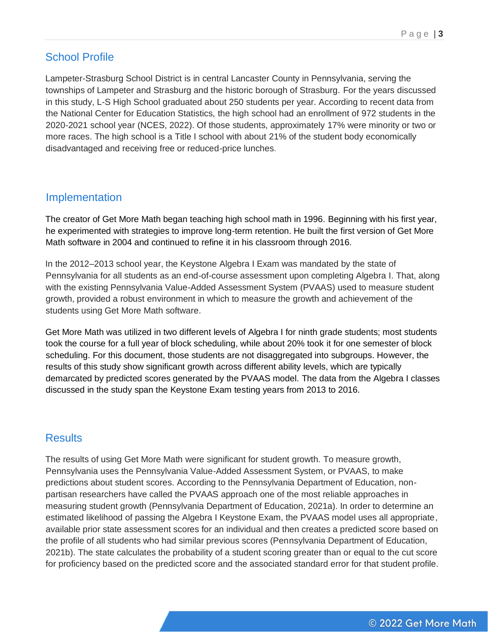# School Profile

Lampeter-Strasburg School District is in central Lancaster County in Pennsylvania, serving the townships of Lampeter and Strasburg and the historic borough of Strasburg. For the years discussed in this study, L-S High School graduated about 250 students per year. According to recent data from the National Center for Education Statistics, the high school had an enrollment of 972 students in the 2020-2021 school year (NCES, 2022). Of those students, approximately 17% were minority or two or more races. The high school is a Title I school with about 21% of the student body economically disadvantaged and receiving free or reduced-price lunches.

#### Implementation

The creator of Get More Math began teaching high school math in 1996. Beginning with his first year, he experimented with strategies to improve long-term retention. He built the first version of Get More Math software in 2004 and continued to refine it in his classroom through 2016.

In the 2012–2013 school year, the Keystone Algebra I Exam was mandated by the state of Pennsylvania for all students as an end-of-course assessment upon completing Algebra I. That, along with the existing Pennsylvania Value-Added Assessment System (PVAAS) used to measure student growth, provided a robust environment in which to measure the growth and achievement of the students using Get More Math software.

Get More Math was utilized in two different levels of Algebra I for ninth grade students; most students took the course for a full year of block scheduling, while about 20% took it for one semester of block scheduling. For this document, those students are not disaggregated into subgroups. However, the results of this study show significant growth across different ability levels, which are typically demarcated by predicted scores generated by the PVAAS model. The data from the Algebra I classes discussed in the study span the Keystone Exam testing years from 2013 to 2016.

### Results

The results of using Get More Math were significant for student growth. To measure growth, Pennsylvania uses the Pennsylvania Value-Added Assessment System, or PVAAS, to make predictions about student scores. According to the Pennsylvania Department of Education, nonpartisan researchers have called the PVAAS approach one of the most reliable approaches in measuring student growth (Pennsylvania Department of Education, 2021a). In order to determine an estimated likelihood of passing the Algebra I Keystone Exam, the PVAAS model uses all appropriate, available prior state assessment scores for an individual and then creates a predicted score based on the profile of all students who had similar previous scores (Pennsylvania Department of Education, 2021b). The state calculates the probability of a student scoring greater than or equal to the cut score for proficiency based on the predicted score and the associated standard error for that student profile.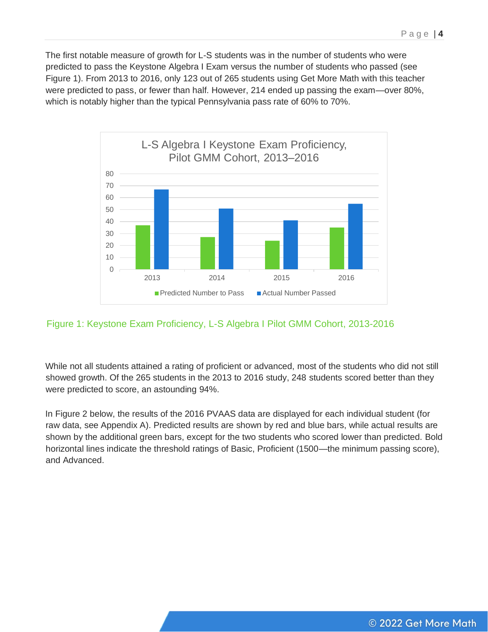The first notable measure of growth for L-S students was in the number of students who were predicted to pass the Keystone Algebra I Exam versus the number of students who passed (see Figure 1). From 2013 to 2016, only 123 out of 265 students using Get More Math with this teacher were predicted to pass, or fewer than half. However, 214 ended up passing the exam—over 80%, which is notably higher than the typical Pennsylvania pass rate of 60% to 70%.



#### Figure 1: Keystone Exam Proficiency, L-S Algebra I Pilot GMM Cohort, 2013-2016

While not all students attained a rating of proficient or advanced, most of the students who did not still showed growth. Of the 265 students in the 2013 to 2016 study, 248 students scored better than they were predicted to score, an astounding 94%.

In Figure 2 below, the results of the 2016 PVAAS data are displayed for each individual student (for raw data, see Appendix A). Predicted results are shown by red and blue bars, while actual results are shown by the additional green bars, except for the two students who scored lower than predicted. Bold horizontal lines indicate the threshold ratings of Basic, Proficient (1500—the minimum passing score), and Advanced.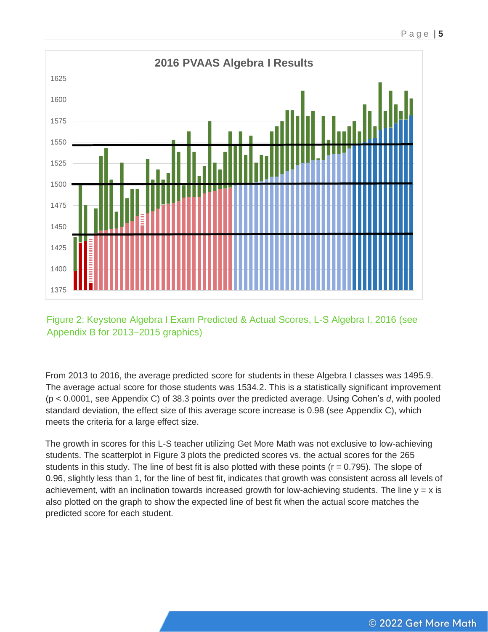

Figure 2: Keystone Algebra I Exam Predicted & Actual Scores, L-S Algebra I, 2016 (see Appendix B for 2013–2015 graphics)

From 2013 to 2016, the average predicted score for students in these Algebra I classes was 1495.9. The average actual score for those students was 1534.2. This is a statistically significant improvement (p < 0.0001, see Appendix C) of 38.3 points over the predicted average. Using Cohen's *d*, with pooled standard deviation, the effect size of this average score increase is 0.98 (see Appendix C), which meets the criteria for a large effect size.

The growth in scores for this L-S teacher utilizing Get More Math was not exclusive to low-achieving students. The scatterplot in Figure 3 plots the predicted scores vs. the actual scores for the 265 students in this study. The line of best fit is also plotted with these points  $(r = 0.795)$ . The slope of 0.96, slightly less than 1, for the line of best fit, indicates that growth was consistent across all levels of achievement, with an inclination towards increased growth for low-achieving students. The line  $y = x$  is also plotted on the graph to show the expected line of best fit when the actual score matches the predicted score for each student.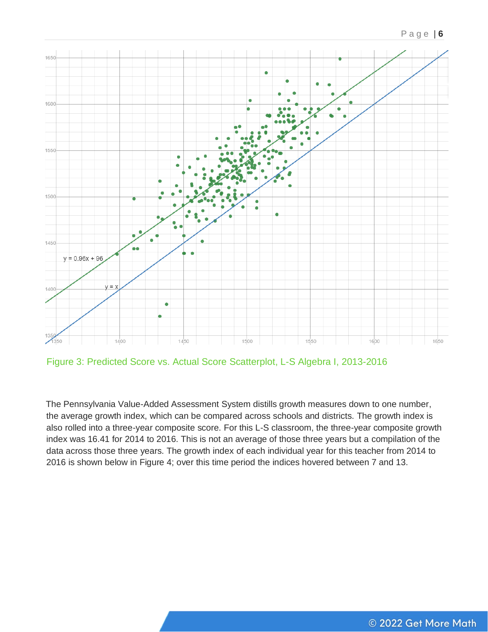



Figure 3: Predicted Score vs. Actual Score Scatterplot, L-S Algebra I, 2013-2016

The Pennsylvania Value-Added Assessment System distills growth measures down to one number, the average growth index, which can be compared across schools and districts. The growth index is also rolled into a three-year composite score. For this L-S classroom, the three-year composite growth index was 16.41 for 2014 to 2016. This is not an average of those three years but a compilation of the data across those three years. The growth index of each individual year for this teacher from 2014 to 2016 is shown below in Figure 4; over this time period the indices hovered between 7 and 13.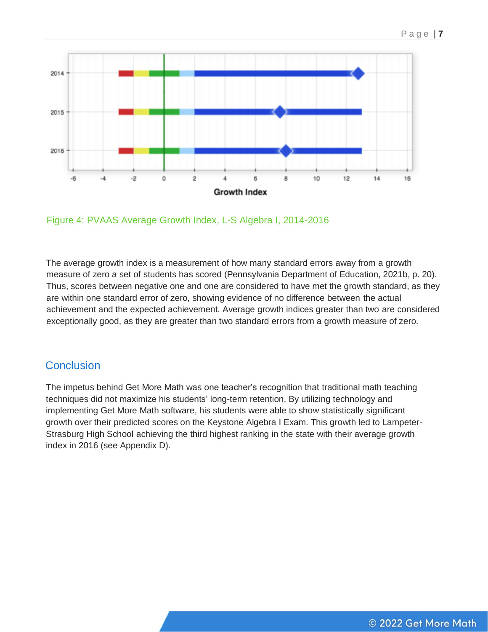

Figure 4: PVAAS Average Growth Index, L-S Algebra I, 2014-2016

The average growth index is a measurement of how many standard errors away from a growth measure of zero a set of students has scored (Pennsylvania Department of Education, 2021b, p. 20). Thus, scores between negative one and one are considered to have met the growth standard, as they are within one standard error of zero, showing evidence of no difference between the actual achievement and the expected achievement. Average growth indices greater than two are considered exceptionally good, as they are greater than two standard errors from a growth measure of zero.

### **Conclusion**

The impetus behind Get More Math was one teacher's recognition that traditional math teaching techniques did not maximize his students' long-term retention. By utilizing technology and implementing Get More Math software, his students were able to show statistically significant growth over their predicted scores on the Keystone Algebra I Exam. This growth led to Lampeter-Strasburg High School achieving the third highest ranking in the state with their average growth index in 2016 (see Appendix D).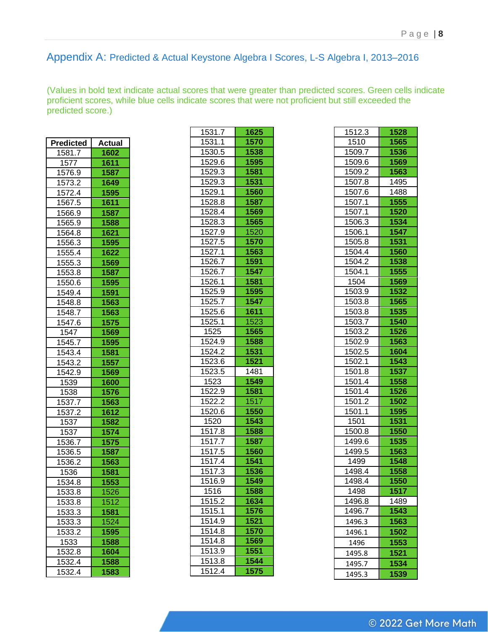#### Appendix A: Predicted & Actual Keystone Algebra I Scores, L-S Algebra I, 2013–2016

(Values in bold text indicate actual scores that were greater than predicted scores. Green cells indicate proficient scores, while blue cells indicate scores that were not proficient but still exceeded the predicted score.)

| <b>Predicted</b> | <b>Actual</b> |
|------------------|---------------|
| 1581.7           | 1602          |
| 1577             | 1611          |
| 1576.9           | 1587          |
| 1573.2           | 1649          |
| 1572.4           | 1595          |
| 1567.5           | 1611          |
| 1566.9           | 1587          |
| 1565.9           | 1588          |
| 1564.8           | 1621          |
| 1556.3           | 1595          |
| 1555.4           | 1622          |
| 1555.3           | 1569          |
| 1553.8           | 1587          |
| 1550.6           | 1595          |
| 1549.4           | 1591          |
| 1548.8           | 1563          |
| 1548.7           | 1563          |
| 1547.6           | 1575          |
| 1547             | 1569          |
| 1545.7           | 1595          |
| 1543.4           | 1581          |
| 1543.2           | 1557          |
| 1542.9           | 1569          |
| 1539             | 1600          |
| 1538             | 1576          |
| 1537.7           | 1563          |
| 1537.2           | 1612          |
| 1537             | 1582          |
| 1537             | 1574          |
| 1536.7           | 1575          |
| 1536.5           | 1587          |
| 1536.2           | 1563          |
| 1536             | 1581          |
| 1534.8           | 1553          |
| 1533.8           | 1526          |
| 1533.8           | 1512          |
| 1533.3           | 1581          |
| 1533.3           | 1524          |
| 1533.2           | 1595          |
| 1533             | 1588          |
| 1532.8           | 1604          |
| 1532.4           | 1588          |
| 1532.4           | 1583          |

| 1531.7           | 1625        |
|------------------|-------------|
| 1531.1           | 1570        |
| 1530.5           | 1538        |
| 1529.6           | 1595        |
| 1529.3           | 1581        |
| 1529.3           | <b>1531</b> |
| 1529.1           | 1560        |
| 1528.8           | 1587        |
| 1528.4           | 1569        |
| 1528.3           | 1565        |
| 1527.9           | 1520        |
| 1527.5           | 1570        |
| 1527.1           | 1563        |
| 1526.7           | 1591        |
| 1526.7           | 1547        |
|                  |             |
| 1526.1           | 1581        |
| 1525.9           | 1595        |
| 1525.7           | 1547        |
| 1525.6           | 1611        |
| 1525.1           | 1523        |
| 1525             | 1565        |
| 1524.9           | 1588        |
| 1524.2           | 1531        |
| 1523.6           | 1521        |
| 1523.5           | 1481        |
| 1523             | 1549        |
| 1522.9           | 1581        |
| 1522.2           | 1517        |
| 1520.6           | 1550        |
| 1520             | 1543        |
| 1517.8           | 1588        |
| 1517 <u>.7</u>   | 1587        |
| 1517.5           | 1560        |
| 1517.4           | 1541        |
| 1517.3           | 1536        |
| 1516.9           | 1549        |
| 1516             | 1588        |
| 1515.2           | 1634        |
| 1515.1           | 1576        |
| 1514.9           | 1521        |
| 1514.8           | 1570        |
| 1514.8           |             |
|                  | 1569        |
| 1513.9<br>1513.8 | 1551        |
|                  | 1544        |
| 1512.4           | 1575        |

| 1512.3 | 1528 |
|--------|------|
| 1510   | 1565 |
| 1509.7 | 1536 |
| 1509.6 | 1569 |
| 1509.2 | 1563 |
| 1507.8 | 1495 |
| 1507.6 | 1488 |
| 1507.1 | 1555 |
| 1507.1 | 1520 |
| 1506.3 | 1534 |
| 1506.1 | 1547 |
| 1505.8 | 1531 |
| 1504.4 | 1560 |
| 1504.2 | 1538 |
| 1504.1 | 1555 |
| 1504   | 1569 |
| 1503.9 | 1532 |
| 1503.8 | 1565 |
| 1503.8 | 1535 |
| 1503.7 | 1540 |
| 1503.2 | 1526 |
| 1502.9 | 1563 |
| 1502.5 | 1604 |
| 1502.1 | 1543 |
| 1501.8 | 1537 |
| 1501.4 | 1558 |
| 1501.4 | 1526 |
| 1501.2 | 1502 |
| 1501.1 | 1595 |
| 1501   | 1531 |
|        |      |
| 1500.8 | 1550 |
| 1499.6 | 1535 |
| 1499.5 | 1563 |
| 1499   | 1548 |
| 1498.4 | 1558 |
| 1498.4 | 1550 |
| 1498   | 1517 |
| 1496.8 | 1489 |
| 1496.7 | 1543 |
| 1496.3 | 1563 |
| 1496.1 | 1502 |
| 1496   | 1553 |
| 1495.8 | 1521 |
| 1495.7 | 1534 |
| 1495.3 | 1539 |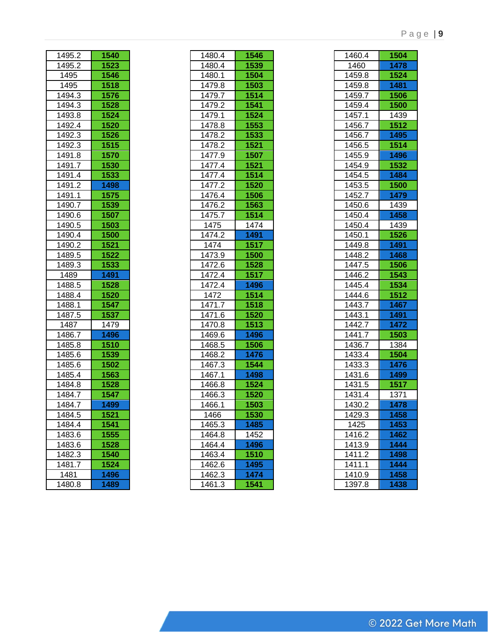| 1540         |
|--------------|
| 1523         |
| 1546         |
| 1518         |
| 1576         |
| 1528         |
| 1524         |
| 1520         |
| 1526         |
| <u>1515</u>  |
| 1570         |
| 1530         |
| 1533         |
| 1498         |
| 1575         |
| 1539         |
| 1507         |
| 1503         |
| 1500         |
| 1521         |
| 1522         |
| 1533         |
| 1491         |
| 1528         |
| 1520         |
| 1547         |
| 1537         |
| 1479         |
| 1496         |
| 1510         |
| 1539         |
| 1502         |
| 1563         |
| 1528         |
| 1547         |
| 1499         |
| 1521         |
| 1541         |
| 1555         |
| 1528         |
| 1540         |
|              |
|              |
| 1524<br>1496 |
|              |

| 1480.4 | 1546        |
|--------|-------------|
| 1480.4 | 1539        |
| 1480.1 | 1504        |
| 1479.8 | 1503        |
| 1479.7 | 1514        |
| 1479.2 | 1541        |
| 1479.1 | 1524        |
| 1478.8 | 1553        |
| 1478.2 | 1533        |
| 1478.2 | 1521        |
| 1477.9 | 1507        |
| 1477.4 | 1521        |
| 1477.4 | 1514        |
| 1477.2 | <b>1520</b> |
| 1476.4 | 1506        |
| 1476.2 | 1563        |
| 1475.7 | 1514        |
| 1475   | 1474        |
| 1474.2 | 1491        |
| 1474   | 1517        |
| 1473.9 | 1500        |
| 1472.6 | 1528        |
|        | 1517        |
| 1472.4 |             |
| 1472.4 | 1496        |
| 1472   | 1514        |
| 1471.7 | 1518        |
| 1471.6 | 1520        |
| 1470.8 | 1513        |
| 1469.6 | 1496        |
| 1468.5 | 1506        |
| 1468.2 | 1476        |
| 1467.3 | 1544        |
| 1467.1 | 1498        |
| 1466.8 | 1524        |
| 1466.3 | 1520        |
| 1466.1 | 1503        |
| 1466   | 1530        |
| 1465.3 | 1485        |
| 1464.8 | 1452        |
| 1464.4 | 1496        |
| 1463.4 | 1510        |
| 1462.6 | 1495        |
| 1462.3 | 1474        |
| 1461.3 | 1541        |
|        |             |

| 1460.4                     | 1504 |
|----------------------------|------|
| 1460                       | 1478 |
| 1459.8                     | 1524 |
| 1459.8                     | 1481 |
| 1459.7                     | 1506 |
| 1459.4                     | 1500 |
| 1457.1                     | 1439 |
| 1456.7                     | 1512 |
| 1456.7                     | 1495 |
| 1456.5                     | 1514 |
| 1455.9                     | 1496 |
| 1454.9                     | 1532 |
| 1454.5                     | 1484 |
| 1453.5                     | 1500 |
| 1452.7                     | 1479 |
| 1450.6                     | 1439 |
| 1450.4                     | 1458 |
| 1450.4                     | 1439 |
| 1450.1                     | 1526 |
| 1449.8                     | 1491 |
| 1448.2                     | 1468 |
| 1447.5                     | 1506 |
| 1446.2                     | 1543 |
| 1445.4                     | 1534 |
| 1444.6                     | 1512 |
| 1443.7                     | 1467 |
| 1443.1                     | 1491 |
| $\frac{1}{442.7}$          | 1472 |
| 1441.7                     | 1503 |
| 1436.7                     | 1384 |
| $\overline{1}$ 433.4       | 1504 |
| 1433.3                     | 1476 |
| 1431.6                     | 1499 |
| 1431.5                     | 1517 |
| 1431.4                     | 1371 |
| 1430.2                     | 1478 |
| 1429.3                     | 1458 |
| 1425                       | 1453 |
| 1416.2                     | 1462 |
| 1413.9<br>1411.2<br>1411.1 | 1444 |
|                            | 1498 |
|                            | 1444 |
| 1410.9                     | 1458 |
| 1397.8                     | 1438 |
|                            |      |

#### P a g e | **9**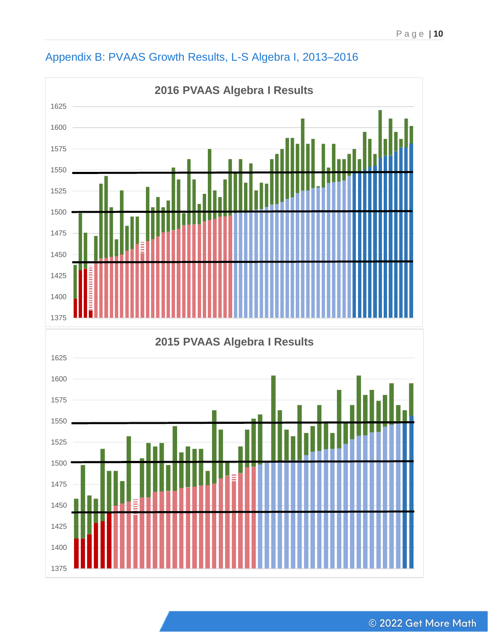

# Appendix B: PVAAS Growth Results, L-S Algebra I, 2013–2016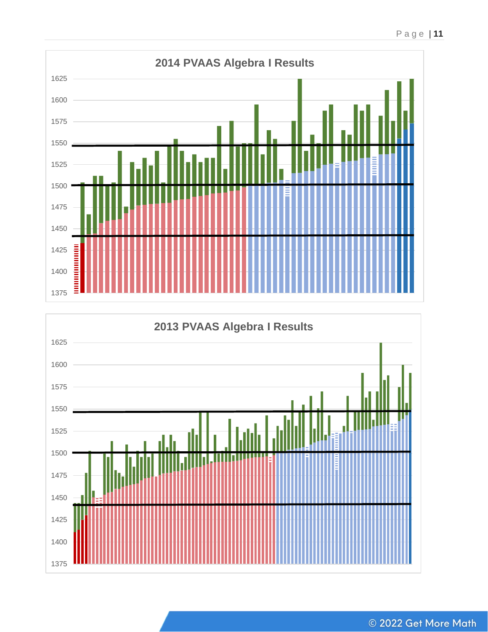



P a g e | **11**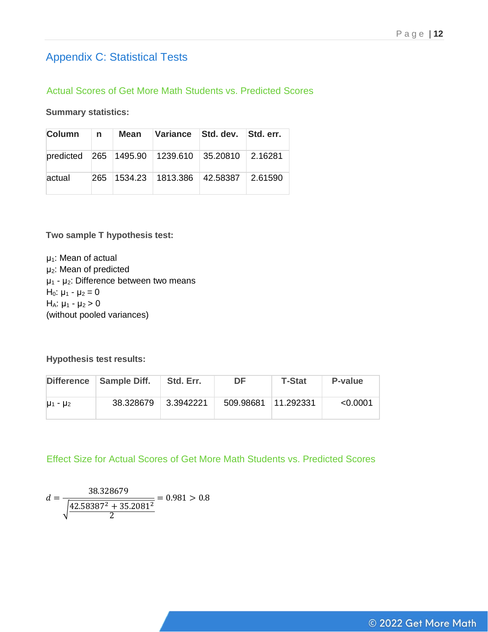# Appendix C: Statistical Tests

#### Actual Scores of Get More Math Students vs. Predicted Scores

**Summary statistics:**

| Column n |  | Mean Variance Std. dev. Std. err.               |  |
|----------|--|-------------------------------------------------|--|
|          |  | predicted 265 1495.90 1239.610 35.20810 2.16281 |  |
| actual   |  | 265 1534.23 1813.386 42.58387 2.61590           |  |

**Two sample T hypothesis test:**

 $\mu_1$ : Mean of actual μ2: Mean of predicted  $\mu_1$  -  $\mu_2$ : Difference between two means  $H<sub>0</sub>: μ<sub>1</sub> - μ<sub>2</sub> = 0$  $H_A: μ_1 - μ_2 > 0$ (without pooled variances)

**Hypothesis test results:**

|                 | Difference   Sample Diff. | Std. Err. | DF                  | <b>T-Stat</b> | P-value  |
|-----------------|---------------------------|-----------|---------------------|---------------|----------|
| $\mu_1 - \mu_2$ | 38.328679                 | 3.3942221 | 509.98681 11.292331 |               | < 0.0001 |

Effect Size for Actual Scores of Get More Math Students vs. Predicted Scores

$$
d = \frac{38.328679}{\sqrt{\frac{42.58387^2 + 35.2081^2}{2}}} = 0.981 > 0.8
$$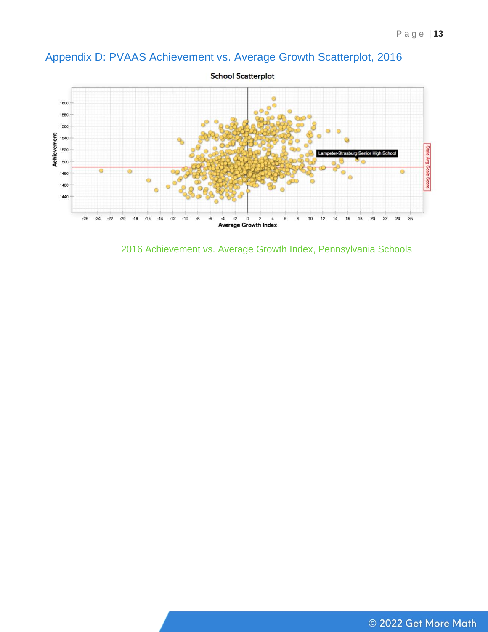# Appendix D: PVAAS Achievement vs. Average Growth Scatterplot, 2016



**School Scatterplot** 

2016 Achievement vs. Average Growth Index, Pennsylvania Schools